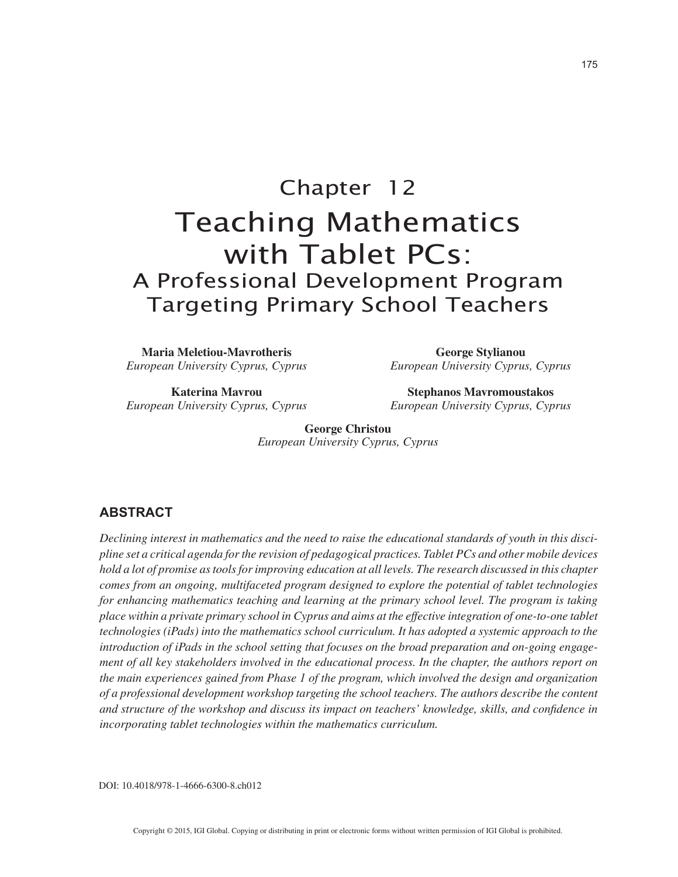# Chapter 12 Teaching Mathematics with Tablet PCs: A Professional Development Program Targeting Primary School Teachers

**Maria Meletiou-Mavrotheris** *European University Cyprus, Cyprus*

**Katerina Mavrou** *European University Cyprus, Cyprus*

**George Stylianou** *European University Cyprus, Cyprus*

**Stephanos Mavromoustakos** *European University Cyprus, Cyprus*

**George Christou** *European University Cyprus, Cyprus*

# **ABSTRACT**

*Declining interest in mathematics and the need to raise the educational standards of youth in this discipline set a critical agenda for the revision of pedagogical practices. Tablet PCs and other mobile devices hold a lot of promise as tools for improving education at all levels. The research discussed in this chapter comes from an ongoing, multifaceted program designed to explore the potential of tablet technologies for enhancing mathematics teaching and learning at the primary school level. The program is taking place within a private primary school in Cyprus and aims at the effective integration of one-to-one tablet technologies (iPads) into the mathematics school curriculum. It has adopted a systemic approach to the introduction of iPads in the school setting that focuses on the broad preparation and on-going engagement of all key stakeholders involved in the educational process. In the chapter, the authors report on the main experiences gained from Phase 1 of the program, which involved the design and organization of a professional development workshop targeting the school teachers. The authors describe the content and structure of the workshop and discuss its impact on teachers' knowledge, skills, and confidence in incorporating tablet technologies within the mathematics curriculum.*

DOI: 10.4018/978-1-4666-6300-8.ch012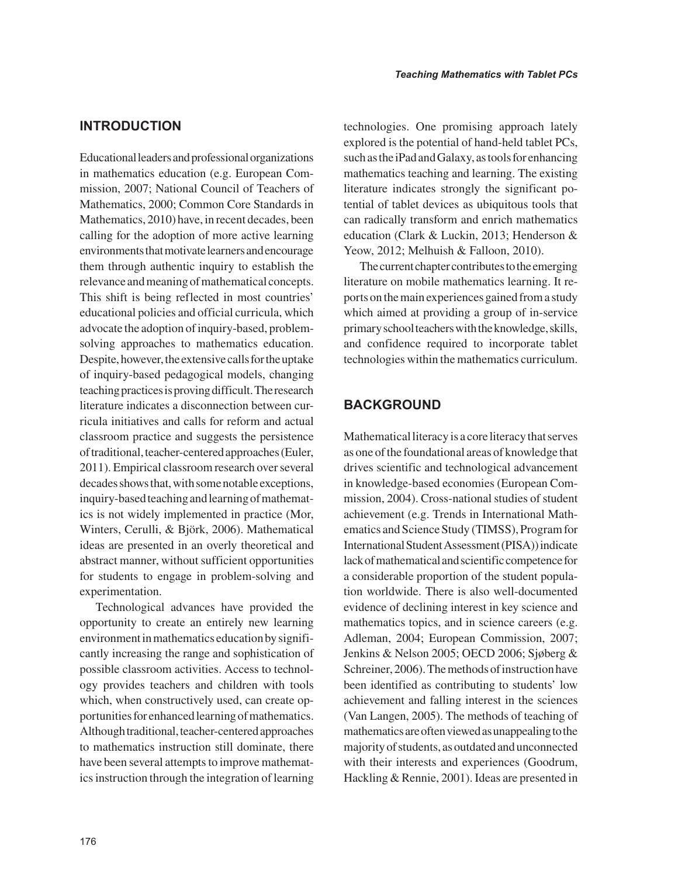# **INTRODUCTION**

Educational leaders and professional organizations in mathematics education (e.g. European Commission, 2007; National Council of Teachers of Mathematics, 2000; Common Core Standards in Mathematics, 2010) have, in recent decades, been calling for the adoption of more active learning environments that motivate learners and encourage them through authentic inquiry to establish the relevance and meaning of mathematical concepts. This shift is being reflected in most countries' educational policies and official curricula, which advocate the adoption of inquiry-based, problemsolving approaches to mathematics education. Despite, however, the extensive calls for the uptake of inquiry-based pedagogical models, changing teaching practices is proving difficult. The research literature indicates a disconnection between curricula initiatives and calls for reform and actual classroom practice and suggests the persistence of traditional, teacher-centered approaches (Euler, 2011). Empirical classroom research over several decades shows that, with some notable exceptions, inquiry-based teaching and learning of mathematics is not widely implemented in practice (Mor, Winters, Cerulli, & Björk, 2006). Mathematical ideas are presented in an overly theoretical and abstract manner, without sufficient opportunities for students to engage in problem-solving and experimentation.

Technological advances have provided the opportunity to create an entirely new learning environment in mathematics education by significantly increasing the range and sophistication of possible classroom activities. Access to technology provides teachers and children with tools which, when constructively used, can create opportunities for enhanced learning of mathematics. Although traditional, teacher-centered approaches to mathematics instruction still dominate, there have been several attempts to improve mathematics instruction through the integration of learning technologies. One promising approach lately explored is the potential of hand-held tablet PCs, such as the iPad and Galaxy, as tools for enhancing mathematics teaching and learning. The existing literature indicates strongly the significant potential of tablet devices as ubiquitous tools that can radically transform and enrich mathematics education (Clark & Luckin, 2013; Henderson & Yeow, 2012; Melhuish & Falloon, 2010).

The current chapter contributes to the emerging literature on mobile mathematics learning. It reports on the main experiences gained from a study which aimed at providing a group of in-service primary school teachers with the knowledge, skills, and confidence required to incorporate tablet technologies within the mathematics curriculum.

# **BACKGROUND**

Mathematical literacy is a core literacy that serves as one of the foundational areas of knowledge that drives scientific and technological advancement in knowledge-based economies (European Commission, 2004). Cross-national studies of student achievement (e.g. Trends in International Mathematics and Science Study (TIMSS), Program for International Student Assessment (PISA)) indicate lack of mathematical and scientific competence for a considerable proportion of the student population worldwide. There is also well-documented evidence of declining interest in key science and mathematics topics, and in science careers (e.g. Adleman, 2004; European Commission, 2007; Jenkins & Nelson 2005; OECD 2006; Sjøberg & Schreiner, 2006). The methods of instruction have been identified as contributing to students' low achievement and falling interest in the sciences (Van Langen, 2005). The methods of teaching of mathematics are often viewed as unappealing to the majority of students, as outdated and unconnected with their interests and experiences (Goodrum, Hackling & Rennie, 2001). Ideas are presented in